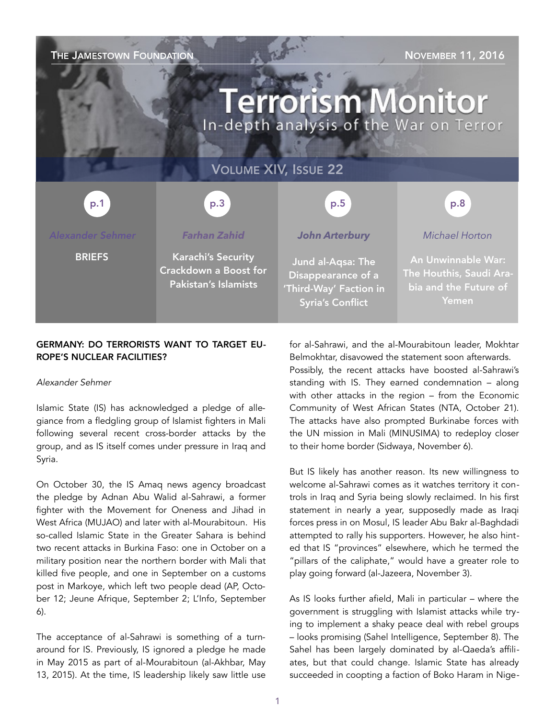# THE JAMESTOWN FOUNDATION NOVEMBER 11, 2016 **Terrorism Monitor** In-depth analysis of the War on Terror VOLUME XIV, ISSUE 22 p.3 p.1 p.1 p.3 p.3 p.3 p.5 p.5 p.8 p.8 *Alexander Sehmer Farhan Zahid John Arterbury Michael Horton* **BRIEFS** Karachi's Security An Unwinnable War: Jund al-Aqsa: The Crackdown a Boost for The Houthis, Saudi Ara-Disappearance of a Pakistan's Islamists bia and the Future of 'Third-Way' Faction in Yemen Syria's Conflict

# GERMANY: DO TERRORISTS WANT TO TARGET EU-ROPE'S NUCLEAR FACILITIES?

# *Alexander Sehmer*

Islamic State (IS) has acknowledged a pledge of allegiance from a fledgling group of Islamist fighters in Mali following several recent cross-border attacks by the group, and as IS itself comes under pressure in Iraq and Syria.

On October 30, the IS Amaq news agency broadcast the pledge by Adnan Abu Walid al-Sahrawi, a former fighter with the Movement for Oneness and Jihad in West Africa (MUJAO) and later with al-Mourabitoun. His so-called Islamic State in the Greater Sahara is behind two recent attacks in Burkina Faso: one in October on a military position near the northern border with Mali that killed five people, and one in September on a customs post in Markoye, which left two people dead ([AP,](http://bigstory.ap.org/article/9217d14d40f64aa09249bb968f009885/gunmen-attack-burkina-fasos-north-killing-3-soldiers) October 12; [Jeune Afrique](http://www.jeuneafrique.com/354023/politique/burkina-deux-morts-lattaque-dun-poste-de-douane-a-markoye/), September 2; [L'Info](http://www.linfo.re/monde/afrique/701430-attentat-burkina-faso-revendication-d-une-attaque-par-l-ei), September 6).

The acceptance of al-Sahrawi is something of a turnaround for IS. Previously, IS ignored a pledge he made in May 2015 as part of al-Mourabitoun [\(al-Akhbar,](http://alakhbar.info/news/9799-2015-05-13-20-45-48.html) May 13, 2015). At the time, IS leadership likely saw little use for al-Sahrawi, and the al-Mourabitoun leader, Mokhtar Belmokhtar, disavowed the statement soon afterwards. Possibly, the recent attacks have boosted al-Sahrawi's standing with IS. They earned condemnation – along with other attacks in the region – from the Economic Community of West African States [\(NTA,](http://www.nta.ng/news/20161021-ecowas-statement-in-the-wake-of-the-armed-attacks-perpetrated-in-niger-mali-and-burkina-faso/) October 21). The attacks have also prompted Burkinabe forces with the UN mission in Mali (MINUSIMA) to redeploy closer to their home border ([Sidwaya,](http://www.sidwaya.bf/m-13885-le-burkina-faso-va-redeployer-sa-troupe-au-sein-de-la-minusma.html) November 6).

But IS likely has another reason. Its new willingness to welcome al-Sahrawi comes as it watches territory it controls in Iraq and Syria being slowly reclaimed. In his first statement in nearly a year, supposedly made as Iraqi forces press in on Mosul, IS leader Abu Bakr al-Baghdadi attempted to rally his supporters. However, he also hinted that IS "provinces" elsewhere, which he termed the "pillars of the caliphate," would have a greater role to play going forward ([al-Jazeera,](http://www.aljazeera.com/news/2016/11/isil-leader-baghdadi-confident-mosul-battle-victory-161103035318924.html) November 3).

As IS looks further afield, Mali in particular – where the government is struggling with Islamist attacks while trying to implement a shaky peace deal with rebel groups – looks promising ([Sahel Intelligence,](http://sahel-intelligence.com/8636-mali-ibk-tente-de-reprendre-en-main-la-situation-securitaire-dans-le-centre-du-pays.html) September 8). The Sahel has been largely dominated by al-Qaeda's affiliates, but that could change. Islamic State has already succeeded in coopting a faction of Boko Haram in Nige-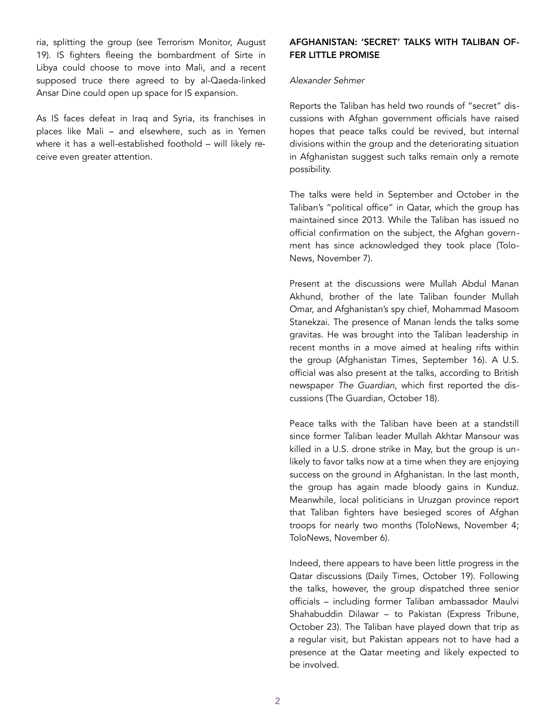ria, splitting the group (see [Terrorism Monitor,](https://jamestown.org/program/boko-haram-abu-musab-al-barnawis-leadership-coup-and-offensive-in-niger/) August 19). IS fighters fleeing the bombardment of Sirte in Libya could choose to move into Mali, and a recent supposed truce there agreed to by al-Qaeda-linked Ansar Dine could open up space for IS expansion.

As IS faces defeat in Iraq and Syria, its franchises in places like Mali – and elsewhere, such as in Yemen where it has a well-established foothold – will likely receive even greater attention.

# AFGHANISTAN: 'SECRET' TALKS WITH TALIBAN OF-FER LITTLE PROMISE

#### *Alexander Sehmer*

Reports the Taliban has held two rounds of "secret" discussions with Afghan government officials have raised hopes that peace talks could be revived, but internal divisions within the group and the deteriorating situation in Afghanistan suggest such talks remain only a remote possibility.

The talks were held in September and October in the Taliban's "political office" in Qatar, which the group has maintained since 2013. While the Taliban has issued no official confirmation on the subject, the Afghan government has since acknowledged they took place ([Tolo](http://www.tolonews.com/en/afghanistan/28211-afghan-political-leaders-push-taliban-for-talks)-News, November 7).

Present at the discussions were Mullah Abdul Manan Akhund, brother of the late Taliban founder Mullah Omar, and Afghanistan's spy chief, Mohammad Masoom Stanekzai. The presence of Manan lends the talks some gravitas. He was brought into the Taliban leadership in recent months in a move aimed at healing rifts within the group [\(Afghanistan Times,](http://afghanistantimes.af/taliban-claims-end-to-leadership-dispute/) September 16). A U.S. official was also present at the talks, according to British newspaper *The Guardian*, which first reported the discussions ([The Guardian](https://www.theguardian.com/world/2016/oct/18/taliban-afghanistan-secret-talks-qatar), October 18).

Peace talks with the Taliban have been at a standstill since former Taliban leader Mullah Akhtar Mansour was killed in a U.S. drone strike in May, but the group is unlikely to favor talks now at a time when they are enjoying success on the ground in Afghanistan. In the last month, the group has again made bloody gains in Kunduz. Meanwhile, local politicians in Uruzgan province report that Taliban fighters have besieged scores of Afghan troops for nearly two months ([ToloN](http://www.tolonews.com/en/afghanistan/28167-30-killed-25-wounded-in-kunduz-govt-blames-taliban)ews, November 4; [ToloN](http://www.tolonews.com/en/afghanistan/28199-nearly-200-security-forces-under-siege-by-taliban)ews, November 6).

Indeed, there appears to have been little progress in the Qatar discussions ([Daily Times,](http://dailytimes.com.pk/world/19-Oct-16/taliban-hold-secret-peace-talks-with-afghanistan-in-qatar) October 19). Following the talks, however, the group dispatched three senior officials – including former Taliban ambassador Maulvi Shahabuddin Dilawar – to Pakistan ([Express Tribune,](http://tribune.com.pk/story/1207079/moribund-process-three-taliban-leaders-qatar-office-visit-pakistan/) October 23). The Taliban have played down that trip as a regular visit, but Pakistan appears not to have had a presence at the Qatar meeting and likely expected to be involved.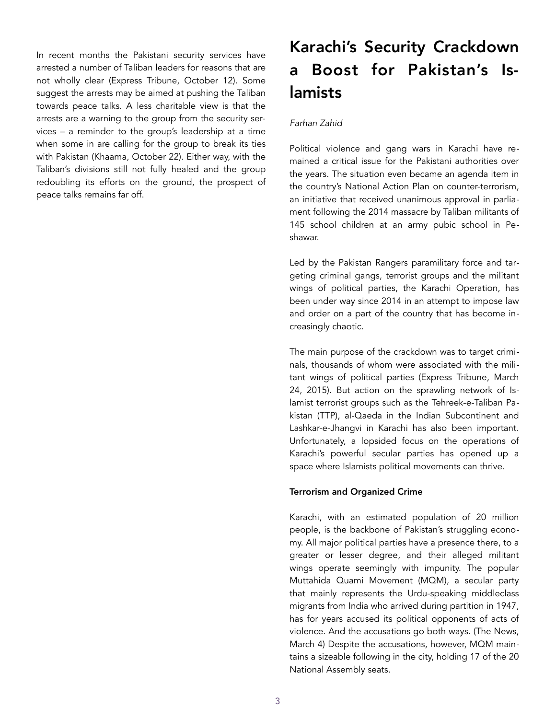In recent months the Pakistani security services have arrested a number of Taliban leaders for reasons that are not wholly clear [\(Express Tribune](http://tribune.com.pk/story/1197663/3-afghan-taliban-leaders-arrested/), October 12). Some suggest the arrests may be aimed at pushing the Taliban towards peace talks. A less charitable view is that the arrests are a warning to the group from the security services – a reminder to the group's leadership at a time when some in are calling for the group to break its ties with Pakistan ([Khaama,](http://www.khaama.com/mullah-omars-close-aide-ask-taliban-chief-to-cut-ties-with-pakistan-02123) October 22). Either way, with the Taliban's divisions still not fully healed and the group redoubling its efforts on the ground, the prospect of peace talks remains far off.

# Karachi's Security Crackdown a Boost for Pakistan's Islamists

# *Farhan Zahid*

Political violence and gang wars in Karachi have remained a critical issue for the Pakistani authorities over the years. The situation even became an agenda item in the country's National Action Plan on counter-terrorism, an initiative that received unanimous approval in parliament following the 2014 massacre by Taliban militants of 145 school children at an army pubic school in Peshawar.

Led by the Pakistan Rangers paramilitary force and targeting criminal gangs, terrorist groups and the militant wings of political parties, the Karachi Operation, has been under way since 2014 in an attempt to impose law and order on a part of the country that has become increasingly chaotic.

The main purpose of the crackdown was to target criminals, thousands of whom were associated with the militant wings of political parties ([Express Tribune,](http://tribune.com.pk/story/857974/arrests-in-karachi-operation-most-criminals-have-political-affiliations/) March 24, 2015). But action on the sprawling network of Islamist terrorist groups such as the Tehreek-e-Taliban Pakistan (TTP), al-Qaeda in the Indian Subcontinent and Lashkar-e-Jhangvi in Karachi has also been important. Unfortunately, a lopsided focus on the operations of Karachi's powerful secular parties has opened up a space where Islamists political movements can thrive.

# Terrorism and Organized Crime

Karachi, with an estimated population of 20 million people, is the backbone of Pakistan's struggling economy. All major political parties have a presence there, to a greater or lesser degree, and their alleged militant wings operate seemingly with impunity. The popular Muttahida Quami Movement (MQM), a secular party that mainly represents the Urdu-speaking middleclass migrants from India who arrived during partition in 1947, has for years accused its political opponents of acts of violence. And the accusations go both ways. [\(The News,](https://www.thenews.com.pk/print/102762-Long-unending-list-of-allegations-against-MQM-and-Altaf) March 4) Despite the accusations, however, MQM maintains a sizeable following in the city, holding 17 of the 20 National Assembly seats.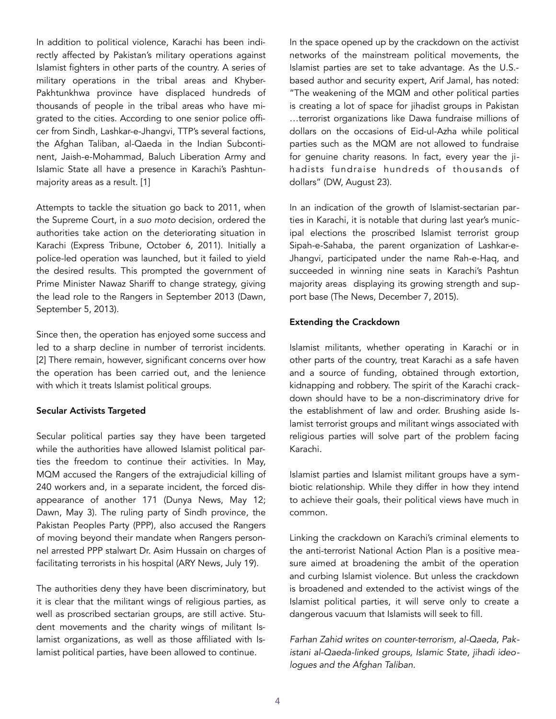In addition to political violence, Karachi has been indirectly affected by Pakistan's military operations against Islamist fighters in other parts of the country. A series of military operations in the tribal areas and Khyber-Pakhtunkhwa province have displaced hundreds of thousands of people in the tribal areas who have migrated to the cities. According to one senior police officer from Sindh, Lashkar-e-Jhangvi, TTP's several factions, the Afghan Taliban, al-Qaeda in the Indian Subcontinent, Jaish-e-Mohammad, Baluch Liberation Army and Islamic State all have a presence in Karachi's Pashtunmajority areas as a result. [1]

Attempts to tackle the situation go back to 2011, when the Supreme Court, in a *suo moto* decision, ordered the authorities take action on the deteriorating situation in Karachi ([Express Tribune,](http://tribune.com.pk/story/267671/law-and-order-supreme-courts-verdict-in-suo-motu-karachi-violence-case-today/) October 6, 2011). Initially a police-led operation was launched, but it failed to yield the desired results. This prompted the government of Prime Minister Nawaz Shariff to change strategy, giving the lead role to the Rangers in September 2013 ([Dawn,](http://www.dawn.com/news/1040496) September 5, 2013).

Since then, the operation has enjoyed some success and led to a sharp decline in number of terrorist incidents. [2] There remain, however, significant concerns over how the operation has been carried out, and the lenience with which it treats Islamist political groups.

### Secular Activists Targeted

Secular political parties say they have been targeted while the authorities have allowed Islamist political parties the freedom to continue their activities. In May, MQM accused the Rangers of the extrajudicial killing of 240 workers and, in a separate incident, the forced disappearance of another 171 ([Dunya News](http://dunyanews.tv/en/Pakistan/336506-MQM-to-launch-movement-for-missing-persons-recove), May 12; [Dawn](http://www.dawn.com/news/1255801), May 3). The ruling party of Sindh province, the Pakistan Peoples Party (PPP), also accused the Rangers of moving beyond their mandate when Rangers personnel arrested PPP stalwart Dr. Asim Hussain on charges of facilitating terrorists in his hospital ([ARY News,](http://arynews.tv/en/atc-rejects-bail-appeals-akhtar-kaimkhani-and-patel/) July 19).

The authorities deny they have been discriminatory, but it is clear that the militant wings of religious parties, as well as proscribed sectarian groups, are still active. Student movements and the charity wings of militant Islamist organizations, as well as those affiliated with Islamist political parties, have been allowed to continue.

In the space opened up by the crackdown on the activist networks of the mainstream political movements, the Islamist parties are set to take advantage. As the U.S. based author and security expert, Arif Jamal, has noted: "The weakening of the MQM and other political parties is creating a lot of space for jihadist groups in Pakistan …terrorist organizations like Dawa fundraise millions of dollars on the occasions of Eid-ul-Azha while political parties such as the MQM are not allowed to fundraise for genuine charity reasons. In fact, every year the jihadists fundraise hundreds of thousands of dollars" [\(DW,](http://www.dw.com/en/why-pakistans-army-is-targeting-the-mqm-party/a-18708521) August 23).

In an indication of the growth of Islamist-sectarian parties in Karachi, it is notable that during last year's municipal elections the proscribed Islamist terrorist group Sipah-e-Sahaba, the parent organization of Lashkar-e-Jhangvi, participated under the name Rah-e-Haq, and succeeded in winning nine seats in Karachi's Pashtun majority areas displaying its growing strength and support base ([The News,](https://www.thenews.com.pk/print/79998-aswj-affiliate-quietly-swipes-nine-seats-in-karachi) December 7, 2015).

## Extending the Crackdown

Islamist militants, whether operating in Karachi or in other parts of the country, treat Karachi as a safe haven and a source of funding, obtained through extortion, kidnapping and robbery. The spirit of the Karachi crackdown should have to be a non-discriminatory drive for the establishment of law and order. Brushing aside Islamist terrorist groups and militant wings associated with religious parties will solve part of the problem facing Karachi.

Islamist parties and Islamist militant groups have a symbiotic relationship. While they differ in how they intend to achieve their goals, their political views have much in common.

Linking the crackdown on Karachi's criminal elements to the anti-terrorist National Action Plan is a positive measure aimed at broadening the ambit of the operation and curbing Islamist violence. But unless the crackdown is broadened and extended to the activist wings of the Islamist political parties, it will serve only to create a dangerous vacuum that Islamists will seek to fill.

*Farhan Zahid writes on counter-terrorism, al-Qaeda, Pakistani al-Qaeda-linked groups, Islamic State, jihadi ideologues and the Afghan Taliban.*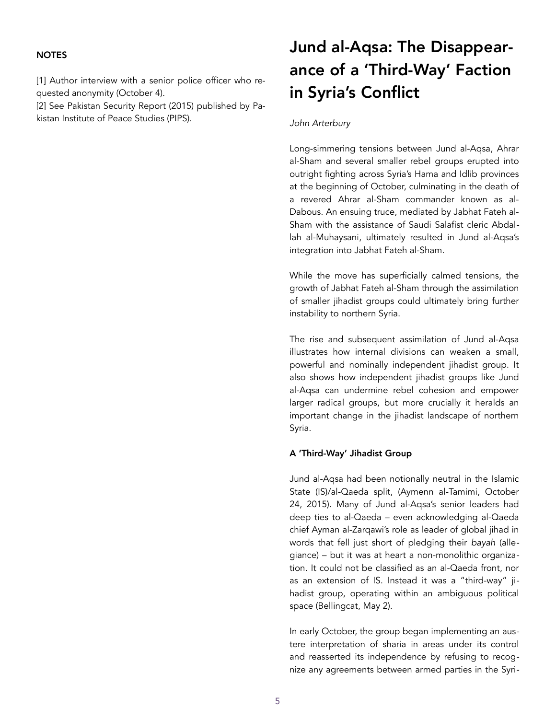## **NOTES**

[1] Author interview with a senior police officer who requested anonymity (October 4).

[2] See Pakistan Security Report (2015) published by Pakistan Institute of Peace Studies (PIPS).

# Jund al-Aqsa: The Disappearance of a 'Third-Way' Faction in Syria's Conflict

### *John Arterbury*

Long-simmering tensions between Jund al-Aqsa, Ahrar al-Sham and several smaller rebel groups erupted into outright fighting across Syria's Hama and Idlib provinces at the beginning of October, culminating in the death of a revered Ahrar al-Sham commander known as al-Dabous. An ensuing truce, mediated by Jabhat Fateh al-Sham with the assistance of Saudi Salafist cleric Abdallah al-Muhaysani, ultimately resulted in Jund al-Aqsa's integration into Jabhat Fateh al-Sham.

While the move has superficially calmed tensions, the growth of Jabhat Fateh al-Sham through the assimilation of smaller jihadist groups could ultimately bring further instability to northern Syria.

The rise and subsequent assimilation of Jund al-Aqsa illustrates how internal divisions can weaken a small, powerful and nominally independent jihadist group. It also shows how independent jihadist groups like Jund al-Aqsa can undermine rebel cohesion and empower larger radical groups, but more crucially it heralds an important change in the jihadist landscape of northern Syria.

### A 'Third-Way' Jihadist Group

Jund al-Aqsa had been notionally neutral in the Islamic State (IS)/al-Qaeda split, [\(Aymenn al-Tamimi,](http://www.aymennjawad.org/2015/10/jund-al-aqsa-withdraws-from-jaysh-al-fatah) October 24, 2015). Many of Jund al-Aqsa's senior leaders had deep ties to al-Qaeda – even acknowledging al-Qaeda chief Ayman al-Zarqawi's role as leader of global jihad in words that fell just short of pledging their *bayah* (allegiance) – but it was at heart a non-monolithic organization. It could not be classified as an al-Qaeda front, nor as an extension of IS. Instead it was a "third-way" jihadist group, operating within an ambiguous political space ([Bellingcat,](https://www.bellingcat.com/news/mena/2016/05/02/striving-for-the-grandest-epics-forecasting-the-future-of-jund-al-aqsa/) May 2).

In early October, the group began implementing an austere interpretation of sharia in areas under its control and reasserted its independence by refusing to recognize any agreements between armed parties in the Syri-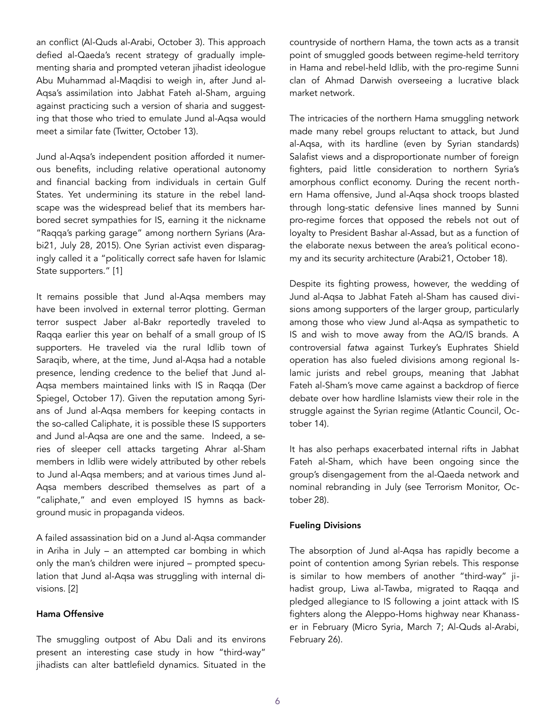an conflict ([Al-Quds al-Arabi,](http://www.alquds.co.uk/?p=607240) October 3). This approach defied al-Qaeda's recent strategy of gradually implementing sharia and prompted veteran jihadist ideologue Abu Muhammad al-Maqdisi to weigh in, after Jund al-Aqsa's assimilation into Jabhat Fateh al-Sham, arguing against practicing such a version of sharia and suggesting that those who tried to emulate Jund al-Aqsa would meet a similar fate [\(Twitter,](https://twitter.com/hxhassan/status/786308727267659777) October 13).

Jund al-Aqsa's independent position afforded it numerous benefits, including relative operational autonomy and financial backing from individuals in certain Gulf States. Yet undermining its stature in the rebel landscape was the widespread belief that its members harbored secret sympathies for IS, earning it the nickname "Raqqa's parking garage" among northern Syrians ([Ara](https://arabi21.com/story/847887/%D8%A8%D8%A7%D8%AD%D8%AB-%D8%B4%D8%B1%D8%B9%D9%8A-%D8%B3%D8%B9%D9%88%D8%AF%D9%8A-%D9%8A%D9%83%D8%AA%D8%A8-%D9%87%D8%B0%D9%87-%D8%AD%D9%82%D9%8A%D9%82%D8%A9-%D8%AC%D9%86%D8%AF-%D8%A7%D9%84%D8%A3%D9%82%D8%B5%D9%89)[bi21,](https://arabi21.com/story/847887/%D8%A8%D8%A7%D8%AD%D8%AB-%D8%B4%D8%B1%D8%B9%D9%8A-%D8%B3%D8%B9%D9%88%D8%AF%D9%8A-%D9%8A%D9%83%D8%AA%D8%A8-%D9%87%D8%B0%D9%87-%D8%AD%D9%82%D9%8A%D9%82%D8%A9-%D8%AC%D9%86%D8%AF-%D8%A7%D9%84%D8%A3%D9%82%D8%B5%D9%89) July 28, 2015). One Syrian activist even disparagingly called it a "politically correct safe haven for Islamic State supporters." [1]

It remains possible that Jund al-Aqsa members may have been involved in external terror plotting. German terror suspect Jaber al-Bakr reportedly traveled to Raqqa earlier this year on behalf of a small group of IS supporters. He traveled via the rural Idlib town of Saraqib, where, at the time, Jund al-Aqsa had a notable presence, lending credence to the belief that Jund al-Aqsa members maintained links with IS in Raqqa [\(Der](http://www.spiegel.de/politik/deutschland/jaber-albakr-wie-der-terrorverdaechtige-zum-fanatiker-wurde-a-1116952.html)  [Spiegel,](http://www.spiegel.de/politik/deutschland/jaber-albakr-wie-der-terrorverdaechtige-zum-fanatiker-wurde-a-1116952.html) October 17). Given the reputation among Syrians of Jund al-Aqsa members for keeping contacts in the so-called Caliphate, it is possible these IS supporters and Jund al-Aqsa are one and the same. Indeed, a series of sleeper cell attacks targeting Ahrar al-Sham members in Idlib were widely attributed by other rebels to Jund al-Aqsa members; and at various times Jund al-Aqsa members described themselves as part of a "caliphate," and even employed IS hymns as background music in propaganda videos.

A failed assassination bid on a Jund al-Aqsa commander in Ariha in July – an attempted car bombing in which only the man's children were injured – prompted speculation that Jund al-Aqsa was struggling with internal divisions. [2]

## Hama Offensive

The smuggling outpost of Abu Dali and its environs present an interesting case study in how "third-way" jihadists can alter battlefield dynamics. Situated in the countryside of northern Hama, the town acts as a transit point of smuggled goods between regime-held territory in Hama and rebel-held Idlib, with the pro-regime Sunni clan of Ahmad Darwish overseeing a lucrative black market network.

The intricacies of the northern Hama smuggling network made many rebel groups reluctant to attack, but Jund al-Aqsa, with its hardline (even by Syrian standards) Salafist views and a disproportionate number of foreign fighters, paid little consideration to northern Syria's amorphous conflict economy. During the recent northern Hama offensive, Jund al-Aqsa shock troops blasted through long-static defensive lines manned by Sunni pro-regime forces that opposed the rebels not out of loyalty to President Bashar al-Assad, but as a function of the elaborate nexus between the area's political economy and its security architecture [\(Arabi21](https://arabi21.com/story/954319/%D8%AD%D9%88%D9%84-%D8%A7%D9%84%D8%B5%D8%B1%D8%A7%D8%B9-%D8%A8%D9%8A%D9%86-%D8%A3%D8%AD%D8%B1%D8%A7%D8%B1-%D8%A7%D9%84%D8%B4%D8%A7%D9%85-%D9%88%D8%AC%D9%86%D8%AF-%D8%A7%D9%84%D8%A3%D9%82%D8%B5%D9%89), October 18).

Despite its fighting prowess, however, the wedding of Jund al-Aqsa to Jabhat Fateh al-Sham has caused divisions among supporters of the larger group, particularly among those who view Jund al-Aqsa as sympathetic to IS and wish to move away from the AQ/IS brands. A controversial *fatwa* against Turkey's Euphrates Shield operation has also fueled divisions among regional Islamic jurists and rebel groups, meaning that Jabhat Fateh al-Sham's move came against a backdrop of fierce debate over how hardline Islamists view their role in the struggle against the Syrian regime ([Atlantic Council,](http://www.atlanticcouncil.org/blogs/syriasource/32798-the-symbolic-war-of-fatwas-among-rebels-in-syria-and-its-implications) October 14).

It has also perhaps exacerbated internal rifts in Jabhat Fateh al-Sham, which have been ongoing since the group's disengagement from the al-Qaeda network and nominal rebranding in July (see [Terrorism Monitor,](https://jamestown.org/program/al-nusras-break-al-qaeda-poses-problem-west/) October 28).

### Fueling Divisions

The absorption of Jund al-Aqsa has rapidly become a point of contention among Syrian rebels. This response is similar to how members of another "third-way" jihadist group, Liwa al-Tawba, migrated to Raqqa and pledged allegiance to IS following a joint attack with IS fighters along the Aleppo-Homs highway near Khanasser in February ([Micro Syria,](https://microsyria.com/2016/03/07/%D9%84%D9%88%D8%A7%D8%A1-%D8%A7%D9%84%D8%AA%D9%88%D8%A8%D8%A9-%D9%8A%D8%B5%D9%84-%D8%A5%D9%84%D9%89-%D9%85%D8%AF%D9%8A%D9%86%D8%A9-%D8%A7%D9%84%D8%B1%D9%82%D8%A9-%D8%A8%D8%B9%D8%AF/) March 7; [Al-Quds al-Arabi,](http://www.alquds.co.uk/?p=488976) February 26).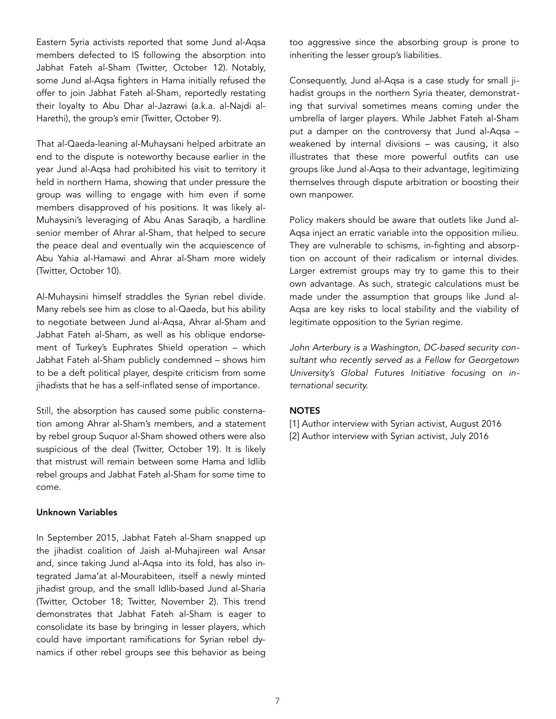Eastern Syria activists reported that some Jund al-Aqsa members defected to IS following the absorption into Jabhat Fateh al-Sham ([Twitter,](https://twitter.com/EuphratesPost/status/785918159085678592) October 12). Notably, some Jund al-Aqsa fighters in Hama initially refused the offer to join Jabhat Fateh al-Sham, reportedly restating their loyalty to Abu Dhar al-Jazrawi (a.k.a. al-Najdi al-Harethi), the group's emir [\(Twitter,](https://twitter.com/MofeedAreha/status/785153770745393152) October 9).

That al-Qaeda-leaning al-Muhaysani helped arbitrate an end to the dispute is noteworthy because earlier in the year Jund al-Aqsa had prohibited his visit to territory it held in northern Hama, showing that under pressure the group was willing to engage with him even if some members disapproved of his positions. It was likely al-Muhaysini's leveraging of Abu Anas Saraqib, a hardline senior member of Ahrar al-Sham, that helped to secure the peace deal and eventually win the acquiescence of Abu Yahia al-Hamawi and Ahrar al-Sham more widely ([Twitter,](https://twitter.com/Muhaysini_EN/status/785168102367657984) October 10).

Al-Muhaysini himself straddles the Syrian rebel divide. Many rebels see him as close to al-Qaeda, but his ability to negotiate between Jund al-Aqsa, Ahrar al-Sham and Jabhat Fateh al-Sham, as well as his oblique endorsement of Turkey's Euphrates Shield operation – which Jabhat Fateh al-Sham publicly condemned – shows him to be a deft political player, despite criticism from some jihadists that he has a self-inflated sense of importance.

Still, the absorption has caused some public consternation among Ahrar al-Sham's members, and a statement by rebel group Suquor al-Sham showed others were also suspicious of the deal [\(Twitter](https://twitter.com/Charles_Lister/status/788446391064469505), October 19). It is likely that mistrust will remain between some Hama and Idlib rebel groups and Jabhat Fateh al-Sham for some time to come.

### Unknown Variables

In September 2015, Jabhat Fateh al-Sham snapped up the jihadist coalition of Jaish al-Muhajireen wal Ansar and, since taking Jund al-Aqsa into its fold, has also integrated Jama'at al-Mourabiteen, itself a newly minted jihadist group, and the small Idlib-based Jund al-Sharia ([Twitter,](https://twitter.com/JohnArterbury/status/788086139378868225) October 18; [Twitter,](https://twitter.com/JohnArterbury/status/793865654495547392) November 2). This trend demonstrates that Jabhat Fateh al-Sham is eager to consolidate its base by bringing in lesser players, which could have important ramifications for Syrian rebel dynamics if other rebel groups see this behavior as being too aggressive since the absorbing group is prone to inheriting the lesser group's liabilities.

Consequently, Jund al-Aqsa is a case study for small jihadist groups in the northern Syria theater, demonstrating that survival sometimes means coming under the umbrella of larger players. While Jabhet Fateh al-Sham put a damper on the controversy that Jund al-Aqsa – weakened by internal divisions – was causing, it also illustrates that these more powerful outfits can use groups like Jund al-Aqsa to their advantage, legitimizing themselves through dispute arbitration or boosting their own manpower.

Policy makers should be aware that outlets like Jund al-Aqsa inject an erratic variable into the opposition milieu. They are vulnerable to schisms, in-fighting and absorption on account of their radicalism or internal divides. Larger extremist groups may try to game this to their own advantage. As such, strategic calculations must be made under the assumption that groups like Jund al-Aqsa are key risks to local stability and the viability of legitimate opposition to the Syrian regime.

*John Arterbury is a Washington, DC-based security consultant who recently served as a Fellow for Georgetown University's Global Futures Initiative focusing on international security.* 

# **NOTES**

- [1] Author interview with Syrian activist, August 2016 [2] Author interview with Syrian activist, July 2016
	-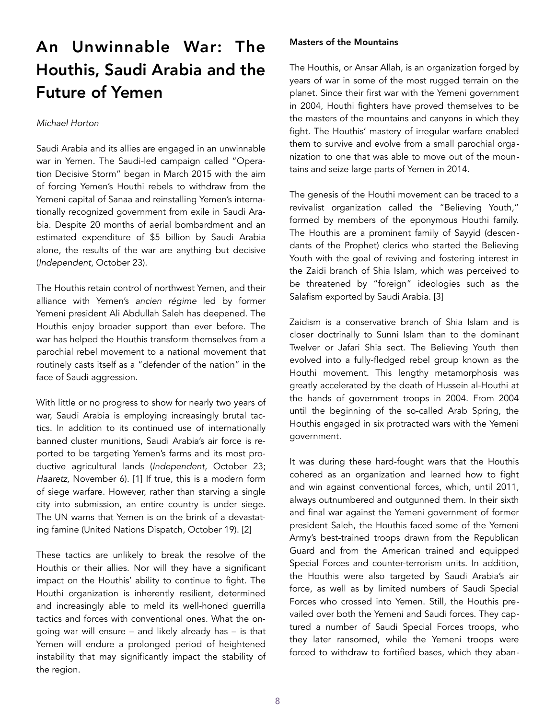# An Unwinnable War: The Houthis, Saudi Arabia and the Future of Yemen

## *Michael Horton*

Saudi Arabia and its allies are engaged in an unwinnable war in Yemen. The Saudi-led campaign called "Operation Decisive Storm" began in March 2015 with the aim of forcing Yemen's Houthi rebels to withdraw from the Yemeni capital of Sanaa and reinstalling Yemen's internationally recognized government from exile in Saudi Arabia. Despite 20 months of aerial bombardment and an estimated expenditure of \$5 billion by Saudi Arabia alone, the results of the war are anything but decisive (*[Independent](http://www.independent.co.uk/news/world/middle-east/saudi-arabia-s-bombing-of-yemeni-farmland-is-a-disgraceful-breach-of-the-geneva-conventions-a7376576.html)*, October 23).

The Houthis retain control of northwest Yemen, and their alliance with Yemen's *ancien régime* led by former Yemeni president Ali Abdullah Saleh has deepened. The Houthis enjoy broader support than ever before. The war has helped the Houthis transform themselves from a parochial rebel movement to a national movement that routinely casts itself as a "defender of the nation" in the face of Saudi aggression.

With little or no progress to show for nearly two years of war, Saudi Arabia is employing increasingly brutal tactics. In addition to its continued use of internationally banned cluster munitions, Saudi Arabia's air force is reported to be targeting Yemen's farms and its most productive agricultural lands (*[Independent](http://www.independent.co.uk/news/world/middle-east/saudi-arabia-s-bombing-of-yemeni-farmland-is-a-disgraceful-breach-of-the-geneva-conventions-a7376576.html)*, October 23; *[Haaretz](http://www.haaretz.com/middle-east-news/1.751364)*, November 6). [1] If true, this is a modern form of siege warfare. However, rather than starving a single city into submission, an entire country is under siege. The UN warns that Yemen is on the brink of a devastating famine [\(United Nations Dispatch](http://www.undispatch.com/war-pushes-yemen-brink-famine/), October 19). [2]

These tactics are unlikely to break the resolve of the Houthis or their allies. Nor will they have a significant impact on the Houthis' ability to continue to fight*.* The Houthi organization is inherently resilient, determined and increasingly able to meld its well-honed guerrilla tactics and forces with conventional ones. What the ongoing war will ensure – and likely already has – is that Yemen will endure a prolonged period of heightened instability that may significantly impact the stability of the region.

# Masters of the Mountains

The Houthis, or Ansar Allah, is an organization forged by years of war in some of the most rugged terrain on the planet. Since their first war with the Yemeni government in 2004, Houthi fighters have proved themselves to be the masters of the mountains and canyons in which they fight. The Houthis' mastery of irregular warfare enabled them to survive and evolve from a small parochial organization to one that was able to move out of the mountains and seize large parts of Yemen in 2014.

The genesis of the Houthi movement can be traced to a revivalist organization called the "Believing Youth," formed by members of the eponymous Houthi family. The Houthis are a prominent family of Sayyid (descendants of the Prophet) clerics who started the Believing Youth with the goal of reviving and fostering interest in the Zaidi branch of Shia Islam, which was perceived to be threatened by "foreign" ideologies such as the Salafism exported by Saudi Arabia. [3]

Zaidism is a conservative branch of Shia Islam and is closer doctrinally to Sunni Islam than to the dominant Twelver or Jafari Shia sect. The Believing Youth then evolved into a fully-fledged rebel group known as the Houthi movement. This lengthy metamorphosis was greatly accelerated by the death of Hussein al-Houthi at the hands of government troops in 2004. From 2004 until the beginning of the so-called Arab Spring, the Houthis engaged in six protracted wars with the Yemeni government.

It was during these hard-fought wars that the Houthis cohered as an organization and learned how to fight and win against conventional forces, which, until 2011, always outnumbered and outgunned them. In their sixth and final war against the Yemeni government of former president Saleh, the Houthis faced some of the Yemeni Army's best-trained troops drawn from the Republican Guard and from the American trained and equipped Special Forces and counter-terrorism units. In addition, the Houthis were also targeted by Saudi Arabia's air force, as well as by limited numbers of Saudi Special Forces who crossed into Yemen. Still, the Houthis prevailed over both the Yemeni and Saudi forces. They captured a number of Saudi Special Forces troops, who they later ransomed, while the Yemeni troops were forced to withdraw to fortified bases, which they aban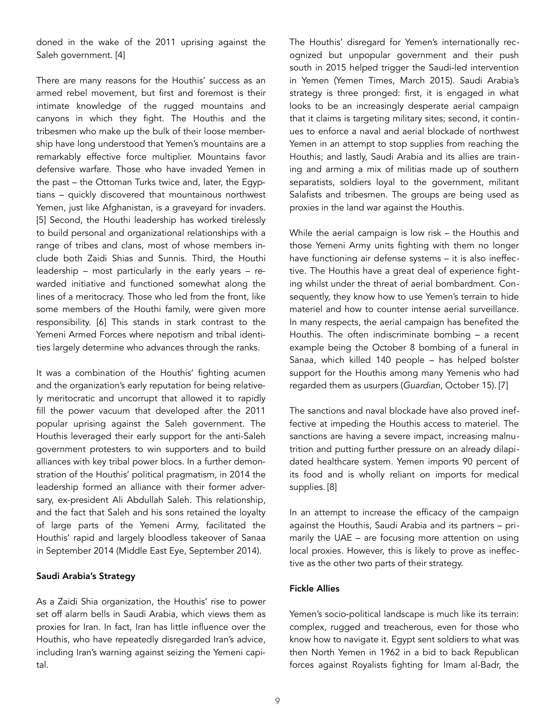doned in the wake of the 2011 uprising against the Saleh government. [4]

There are many reasons for the Houthis' success as an armed rebel movement, but first and foremost is their intimate knowledge of the rugged mountains and canyons in which they fight. The Houthis and the tribesmen who make up the bulk of their loose membership have long understood that Yemen's mountains are a remarkably effective force multiplier. Mountains favor defensive warfare. Those who have invaded Yemen in the past – the Ottoman Turks twice and, later, the Egyptians – quickly discovered that mountainous northwest Yemen, just like Afghanistan, is a graveyard for invaders. [5] Second, the Houthi leadership has worked tirelessly to build personal and organizational relationships with a range of tribes and clans, most of whose members include both Zaidi Shias and Sunnis. Third, the Houthi leadership – most particularly in the early years – rewarded initiative and functioned somewhat along the lines of a meritocracy. Those who led from the front, like some members of the Houthi family, were given more responsibility. [6] This stands in stark contrast to the Yemeni Armed Forces where nepotism and tribal identities largely determine who advances through the ranks.

It was a combination of the Houthis' fighting acumen and the organization's early reputation for being relatively meritocratic and uncorrupt that allowed it to rapidly fill the power vacuum that developed after the 2011 popular uprising against the Saleh government. The Houthis leveraged their early support for the anti-Saleh government protesters to win supporters and to build alliances with key tribal power blocs. In a further demonstration of the Houthis' political pragmatism, in 2014 the leadership formed an alliance with their former adversary, ex-president Ali Abdullah Saleh. This relationship, and the fact that Saleh and his sons retained the loyalty of large parts of the Yemeni Army, facilitated the Houthis' rapid and largely bloodless takeover of Sanaa in September 2014 ([Middle East Eye,](http://www.middleeasteye.net/in-depth/features/yemenis-are-shocked-houthi-s-quick-capture-sanaa-690971750) September 2014).

### Saudi Arabia's Strategy

As a Zaidi Shia organization, the Houthis' rise to power set off alarm bells in Saudi Arabia, which views them as proxies for Iran. In fact, Iran has little influence over the Houthis, who have repeatedly disregarded Iran's advice, including Iran's warning against seizing the Yemeni capital.

The Houthis' disregard for Yemen's internationally recognized but unpopular government and their push south in 2015 helped trigger the Saudi-led intervention in Yemen ([Yemen Times,](http://www.yementimes.com/en/1870/news/4992/Houthis-push-south-from-Taiz-city.htm) March 2015). Saudi Arabia's strategy is three pronged: first, it is engaged in what looks to be an increasingly desperate aerial campaign that it claims is targeting military sites; second, it continues to enforce a naval and aerial blockade of northwest Yemen in an attempt to stop supplies from reaching the Houthis; and lastly, Saudi Arabia and its allies are training and arming a mix of militias made up of southern separatists, soldiers loyal to the government, militant Salafists and tribesmen. The groups are being used as proxies in the land war against the Houthis.

While the aerial campaign is low risk – the Houthis and those Yemeni Army units fighting with them no longer have functioning air defense systems – it is also ineffective. The Houthis have a great deal of experience fighting whilst under the threat of aerial bombardment. Consequently, they know how to use Yemen's terrain to hide materiel and how to counter intense aerial surveillance. In many respects, the aerial campaign has benefited the Houthis. The often indiscriminate bombing – a recent example being the October 8 bombing of a funeral in Sanaa, which killed 140 people – has helped bolster support for the Houthis among many Yemenis who had regarded them as usurpers (*[Guardian](https://www.theguardian.com/world/2016/oct/15/saudi-led-coalition-admits-to-bombing-yemen-funeral)*, October 15). [7]

The sanctions and naval blockade have also proved ineffective at impeding the Houthis access to materiel. The sanctions are having a severe impact, increasing malnutrition and putting further pressure on an already dilapidated healthcare system. Yemen imports 90 percent of its food and is wholly reliant on imports for medical supplies. [8]

In an attempt to increase the efficacy of the campaign against the Houthis, Saudi Arabia and its partners – primarily the UAE – are focusing more attention on using local proxies. However, this is likely to prove as ineffective as the other two parts of their strategy.

### Fickle Allies

Yemen's socio-political landscape is much like its terrain: complex, rugged and treacherous, even for those who know how to navigate it. Egypt sent soldiers to what was then North Yemen in 1962 in a bid to back Republican forces against Royalists fighting for Imam al-Badr, the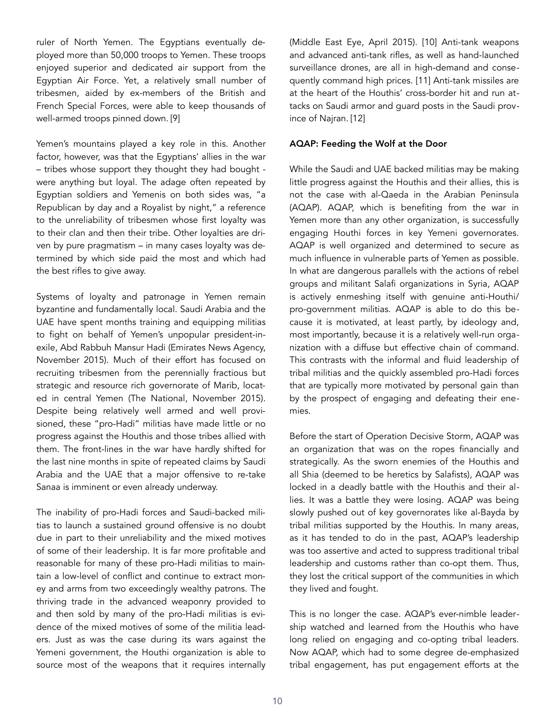ruler of North Yemen. The Egyptians eventually deployed more than 50,000 troops to Yemen. These troops enjoyed superior and dedicated air support from the Egyptian Air Force. Yet, a relatively small number of tribesmen, aided by ex-members of the British and French Special Forces, were able to keep thousands of well-armed troops pinned down. [9]

Yemen's mountains played a key role in this. Another factor, however, was that the Egyptians' allies in the war – tribes whose support they thought they had bought were anything but loyal. The adage often repeated by Egyptian soldiers and Yemenis on both sides was, "a Republican by day and a Royalist by night," a reference to the unreliability of tribesmen whose first loyalty was to their clan and then their tribe. Other loyalties are driven by pure pragmatism – in many cases loyalty was determined by which side paid the most and which had the best rifles to give away.

Systems of loyalty and patronage in Yemen remain byzantine and fundamentally local. Saudi Arabia and the UAE have spent months training and equipping militias to fight on behalf of Yemen's unpopular president-inexile, Abd Rabbuh Mansur Hadi ([Emirates News Agency,](http://www.wam.ae/en/news/emirates/1395288404514.html) November 2015). Much of their effort has focused on recruiting tribesmen from the perennially fractious but strategic and resource rich governorate of Marib, located in central Yemen ([The National,](http://www.thenational.ae/world/middle-east/uae-trains-yemeni-fighters) November 2015). Despite being relatively well armed and well provisioned, these "pro-Hadi" militias have made little or no progress against the Houthis and those tribes allied with them. The front-lines in the war have hardly shifted for the last nine months in spite of repeated claims by Saudi Arabia and the UAE that a major offensive to re-take Sanaa is imminent or even already underway.

The inability of pro-Hadi forces and Saudi-backed militias to launch a sustained ground offensive is no doubt due in part to their unreliability and the mixed motives of some of their leadership. It is far more profitable and reasonable for many of these pro-Hadi militias to maintain a low-level of conflict and continue to extract money and arms from two exceedingly wealthy patrons. The thriving trade in the advanced weaponry provided to and then sold by many of the pro-Hadi militias is evidence of the mixed motives of some of the militia leaders. Just as was the case during its wars against the Yemeni government, the Houthi organization is able to source most of the weapons that it requires internally

([Middle East Eye,](http://www.middleeasteye.net/columns/houthi-arms-bonanza-came-saleh-not-iran-1224808066) April 2015). [10] Anti-tank weapons and advanced anti-tank rifles, as well as hand-launched surveillance drones, are all in high-demand and consequently command high prices. [11] Anti-tank missiles are at the heart of the Houthis' cross-border hit and run attacks on Saudi armor and guard posts in the Saudi province of Najran. [12]

#### AQAP: Feeding the Wolf at the Door

While the Saudi and UAE backed militias may be making little progress against the Houthis and their allies, this is not the case with al-Qaeda in the Arabian Peninsula (AQAP). AQAP, which is benefiting from the war in Yemen more than any other organization, is successfully engaging Houthi forces in key Yemeni governorates. AQAP is well organized and determined to secure as much influence in vulnerable parts of Yemen as possible. In what are dangerous parallels with the actions of rebel groups and militant Salafi organizations in Syria, AQAP is actively enmeshing itself with genuine anti-Houthi/ pro-government militias. AQAP is able to do this because it is motivated, at least partly, by ideology and, most importantly, because it is a relatively well-run organization with a diffuse but effective chain of command. This contrasts with the informal and fluid leadership of tribal militias and the quickly assembled pro-Hadi forces that are typically more motivated by personal gain than by the prospect of engaging and defeating their enemies.

Before the start of Operation Decisive Storm, AQAP was an organization that was on the ropes financially and strategically. As the sworn enemies of the Houthis and all Shia (deemed to be heretics by Salafists), AQAP was locked in a deadly battle with the Houthis and their allies. It was a battle they were losing. AQAP was being slowly pushed out of key governorates like al-Bayda by tribal militias supported by the Houthis. In many areas, as it has tended to do in the past, AQAP's leadership was too assertive and acted to suppress traditional tribal leadership and customs rather than co-opt them. Thus, they lost the critical support of the communities in which they lived and fought.

This is no longer the case. AQAP's ever-nimble leadership watched and learned from the Houthis who have long relied on engaging and co-opting tribal leaders. Now AQAP, which had to some degree de-emphasized tribal engagement, has put engagement efforts at the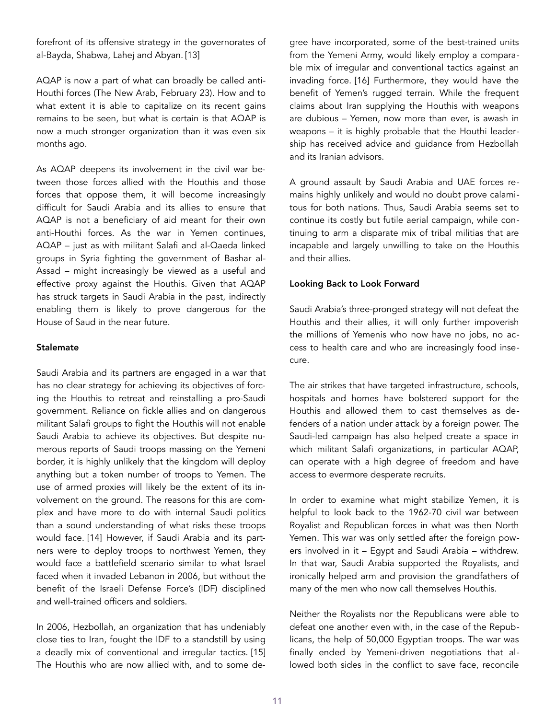forefront of its offensive strategy in the governorates of al-Bayda, Shabwa, Lahej and Abyan. [13]

AQAP is now a part of what can broadly be called anti-Houthi forces ([The New Arab](https://www.alaraby.co.uk/english/news/2016/2/23/al-qaeda-fighting-with-saudi-led-coalition-forces-in-yemen), February 23). How and to what extent it is able to capitalize on its recent gains remains to be seen, but what is certain is that AQAP is now a much stronger organization than it was even six months ago.

As AQAP deepens its involvement in the civil war between those forces allied with the Houthis and those forces that oppose them, it will become increasingly difficult for Saudi Arabia and its allies to ensure that AQAP is not a beneficiary of aid meant for their own anti-Houthi forces. As the war in Yemen continues, AQAP – just as with militant Salafi and al-Qaeda linked groups in Syria fighting the government of Bashar al-Assad – might increasingly be viewed as a useful and effective proxy against the Houthis. Given that AQAP has struck targets in Saudi Arabia in the past, indirectly enabling them is likely to prove dangerous for the House of Saud in the near future.

### Stalemate

Saudi Arabia and its partners are engaged in a war that has no clear strategy for achieving its objectives of forcing the Houthis to retreat and reinstalling a pro-Saudi government. Reliance on fickle allies and on dangerous militant Salafi groups to fight the Houthis will not enable Saudi Arabia to achieve its objectives. But despite numerous reports of Saudi troops massing on the Yemeni border, it is highly unlikely that the kingdom will deploy anything but a token number of troops to Yemen. The use of armed proxies will likely be the extent of its involvement on the ground. The reasons for this are complex and have more to do with internal Saudi politics than a sound understanding of what risks these troops would face. [14] However, if Saudi Arabia and its partners were to deploy troops to northwest Yemen, they would face a battlefield scenario similar to what Israel faced when it invaded Lebanon in 2006, but without the benefit of the Israeli Defense Force's (IDF) disciplined and well-trained officers and soldiers.

In 2006, Hezbollah, an organization that has undeniably close ties to Iran, fought the IDF to a standstill by using a deadly mix of conventional and irregular tactics. [15] The Houthis who are now allied with, and to some degree have incorporated, some of the best-trained units from the Yemeni Army, would likely employ a comparable mix of irregular and conventional tactics against an invading force. [16] Furthermore, they would have the benefit of Yemen's rugged terrain. While the frequent claims about Iran supplying the Houthis with weapons are dubious – Yemen, now more than ever, is awash in weapons – it is highly probable that the Houthi leadership has received advice and guidance from Hezbollah and its Iranian advisors.

A ground assault by Saudi Arabia and UAE forces remains highly unlikely and would no doubt prove calamitous for both nations. Thus, Saudi Arabia seems set to continue its costly but futile aerial campaign, while continuing to arm a disparate mix of tribal militias that are incapable and largely unwilling to take on the Houthis and their allies.

#### Looking Back to Look Forward

Saudi Arabia's three-pronged strategy will not defeat the Houthis and their allies, it will only further impoverish the millions of Yemenis who now have no jobs, no access to health care and who are increasingly food insecure.

The air strikes that have targeted infrastructure, schools, hospitals and homes have bolstered support for the Houthis and allowed them to cast themselves as defenders of a nation under attack by a foreign power. The Saudi-led campaign has also helped create a space in which militant Salafi organizations, in particular AQAP, can operate with a high degree of freedom and have access to evermore desperate recruits.

In order to examine what might stabilize Yemen, it is helpful to look back to the 1962-70 civil war between Royalist and Republican forces in what was then North Yemen. This war was only settled after the foreign powers involved in it – Egypt and Saudi Arabia – withdrew. In that war, Saudi Arabia supported the Royalists, and ironically helped arm and provision the grandfathers of many of the men who now call themselves Houthis.

Neither the Royalists nor the Republicans were able to defeat one another even with, in the case of the Republicans, the help of 50,000 Egyptian troops. The war was finally ended by Yemeni-driven negotiations that allowed both sides in the conflict to save face, reconcile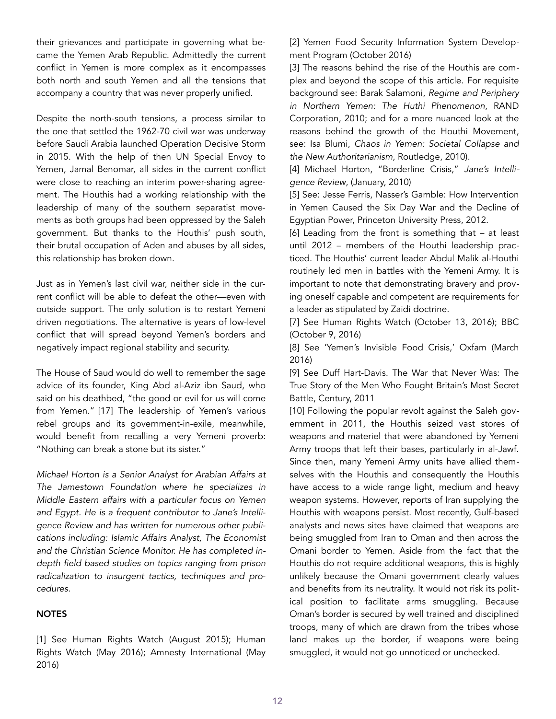their grievances and participate in governing what became the Yemen Arab Republic. Admittedly the current conflict in Yemen is more complex as it encompasses both north and south Yemen and all the tensions that accompany a country that was never properly unified.

Despite the north-south tensions, a process similar to the one that settled the 1962-70 civil war was underway before Saudi Arabia launched Operation Decisive Storm in 2015. With the help of then UN Special Envoy to Yemen, Jamal Benomar, all sides in the current conflict were close to reaching an interim power-sharing agreement. The Houthis had a working relationship with the leadership of many of the southern separatist movements as both groups had been oppressed by the Saleh government. But thanks to the Houthis' push south, their brutal occupation of Aden and abuses by all sides, this relationship has broken down.

Just as in Yemen's last civil war, neither side in the current conflict will be able to defeat the other—even with outside support. The only solution is to restart Yemeni driven negotiations. The alternative is years of low-level conflict that will spread beyond Yemen's borders and negatively impact regional stability and security.

The House of Saud would do well to remember the sage advice of its founder, King Abd al-Aziz ibn Saud, who said on his deathbed, "the good or evil for us will come from Yemen." [17] The leadership of Yemen's various rebel groups and its government-in-exile, meanwhile, would benefit from recalling a very Yemeni proverb: "Nothing can break a stone but its sister."

*Michael Horton is a Senior Analyst for Arabian Affairs at The Jamestown Foundation where he specializes in Middle Eastern affairs with a particular focus on Yemen and Egypt. He is a frequent contributor to Jane's Intelligence Review and has written for numerous other publications including: Islamic Affairs Analyst, The Economist and the Christian Science Monitor. He has completed indepth field based studies on topics ranging from prison radicalization to insurgent tactics, techniques and procedures.* 

# **NOTES**

[1] See [Human Rights Watch](https://www.hrw.org/video-photos/video/2015/08/26/yemen-cluster-munitions-kill-and-wound-civilians) (August 2015); [Human](https://www.hrw.org/news/2016/05/06/yemen-saudis-using-us-cluster-munitions)  [Rights Wa](https://www.hrw.org/news/2016/05/06/yemen-saudis-using-us-cluster-munitions)tch (May 2016); [Amnesty International](https://www.amnesty.org.uk/press-releases/saudi-arabia-led-coalition-has-used-uk-manufactured-cluster-bombs-yemen-new-evidence) (May 2016)

[\[2\] Yemen Food Security Information System Develop](http://reliefweb.int/sites/reliefweb.int/files/resources/yemen_fsis_programme_food_security_update_-_october_2016_-_15-10-16.pdf)[ment Program](http://reliefweb.int/sites/reliefweb.int/files/resources/yemen_fsis_programme_food_security_update_-_october_2016_-_15-10-16.pdf) (October 2016)

[3] The reasons behind the rise of the Houthis are complex and beyond the scope of this article. For requisite background see: Barak Salamoni, *Regime and Periphery in Northern Yemen: The Huthi Phenomenon*, RAND Corporation, 2010; and for a more nuanced look at the reasons behind the growth of the Houthi Movement, see: Isa Blumi, *Chaos in Yemen: Societal Collapse and the New Authoritarianism*, Routledge, 2010).

[4] Michael Horton, "Borderline Crisis," *Jane's Intelligence Review*, (January, 2010)

[5] See: Jesse Ferris, Nasser's Gamble: How Intervention in Yemen Caused the Six Day War and the Decline of Egyptian Power, Princeton University Press, 2012.

[6] Leading from the front is something that – at least until 2012 – members of the Houthi leadership practiced. The Houthis' current leader Abdul Malik al-Houthi routinely led men in battles with the Yemeni Army. It is important to note that demonstrating bravery and proving oneself capable and competent are requirements for a leader as stipulated by Zaidi doctrine.

[7] See [Human Rights Watch](https://www.hrw.org/news/2016/10/13/yemen-saudi-led-funeral-attack-apparent-war-crime) (October 13, 2016); [BBC](http://www.bbc.com/news/world-middle-east-37598413)  (October 9, 2016)

[8] See '[Yemen's Invisible Food Crisis,](https://www.oxfam.org/sites/www.oxfam.org/files/file_attachments/mb-yemen-invisible-food-crisis-one-year-on-240316-en.pdf)' Oxfam (March 2016)

[9] See Duff Hart-Davis. The War that Never Was: The True Story of the Men Who Fought Britain's Most Secret Battle, Century, 2011

[10] Following the popular revolt against the Saleh government in 2011, the Houthis seized vast stores of weapons and materiel that were abandoned by Yemeni Army troops that left their bases, particularly in al-Jawf. Since then, many Yemeni Army units have allied themselves with the Houthis and consequently the Houthis have access to a wide range light, medium and heavy weapon systems. However, reports of Iran supplying the Houthis with weapons persist. Most recently, Gulf-based analysts and news sites have claimed that weapons are being smuggled from Iran to Oman and then across the Omani border to Yemen. Aside from the fact that the Houthis do not require additional weapons, this is highly unlikely because the Omani government clearly values and benefits from its neutrality. It would not risk its political position to facilitate arms smuggling. Because Oman's border is secured by well trained and disciplined troops, many of which are drawn from the tribes whose land makes up the border, if weapons were being smuggled, it would not go unnoticed or unchecked.